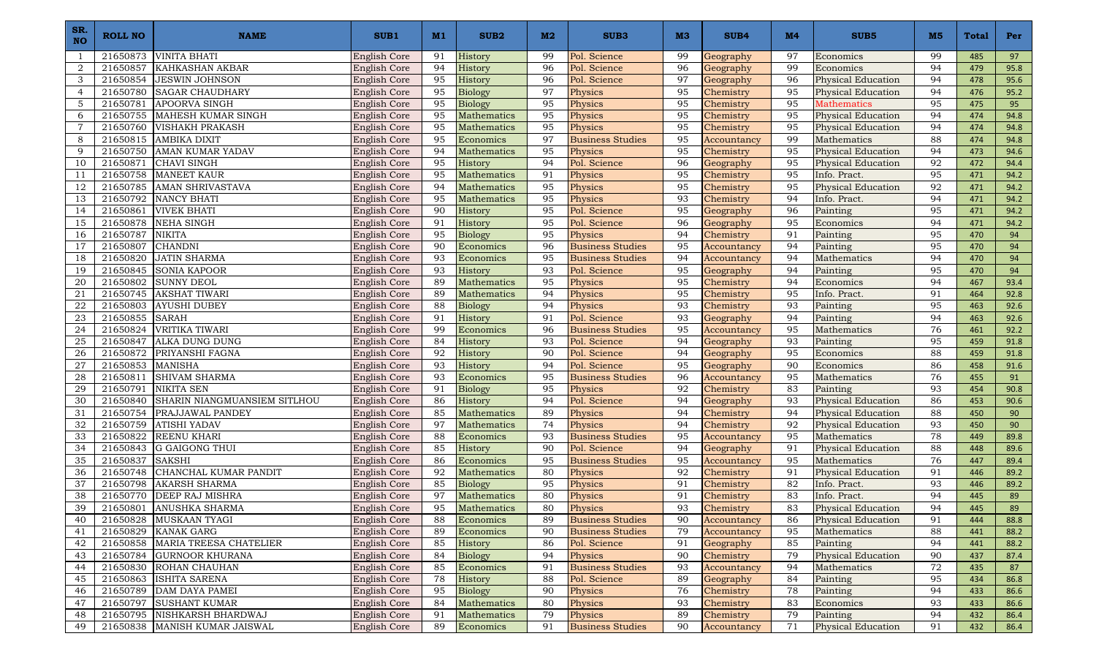| SR.<br><b>NO</b> | ROLL NO  | <b>NAME</b>                                               | SUB <sub>1</sub>             | M1       | SUB <sub>2</sub>            | M2       | SUB <sub>3</sub>                   | M <sub>3</sub> | SUB4                     | M4       | SUB <sub>5</sub>               | M <sub>5</sub> | Total      | Per          |
|------------------|----------|-----------------------------------------------------------|------------------------------|----------|-----------------------------|----------|------------------------------------|----------------|--------------------------|----------|--------------------------------|----------------|------------|--------------|
| -1               | 21650873 | <b>VINITA BHATI</b>                                       | English Core                 | 91       | History                     | 99       | Pol. Science                       | 99             | Geography                | 97       | Economics                      | 99             | 485        | 97           |
| 2                | 21650857 | <b>KAHKASHAN AKBAR</b>                                    | English Core                 | 94       | History                     | 96       | Pol. Science                       | 96             | Geography                | 99       | Economics                      | 94             | 479        | 95.8         |
| 3                | 21650854 | <b>JESWIN JOHNSON</b>                                     | English Core                 | 95       | History                     | 96       | Pol. Science                       | 97             | Geography                | 96       | <b>Physical Education</b>      | 94             | 478        | 95.6         |
| $\overline{4}$   | 21650780 | <b>SAGAR CHAUDHARY</b>                                    | English Core                 | 95       | <b>Biology</b>              | 97       | Physics                            | 95             | Chemistry                | 95       | <b>Physical Education</b>      | 94             | 476        | 95.2         |
| $\overline{5}$   | 21650781 | <b>APOORVA SINGH</b>                                      | English Core                 | 95       | Biology                     | 95       | Physics                            | 95             | Chemistry                | 95       | Mathematics                    | 95             | 475        | 95           |
| 6                |          | 21650755   MAHESH KUMAR SINGH                             | English Core                 | 95       | Mathematics                 | 95       | Physics                            | 95             | Chemistry                | 95       | <b>Physical Education</b>      | 94             | 474        | 94.8         |
| $\overline{7}$   | 21650760 | <b>VISHAKH PRAKASH</b>                                    | English Core                 | 95       | Mathematics                 | 95       | Physics                            | 95             | Chemistry                | 95       | <b>Physical Education</b>      | 94             | 474        | 94.8         |
| 8                | 21650815 | AMBIKA DIXIT                                              | English Core                 | 95       | Economics                   | 97       | <b>Business Studies</b>            | 95             | Accountancy              | 99       | Mathematics                    | 88             | 474        | 94.8         |
| 9                | 21650750 | <b>AMAN KUMAR YADAV</b>                                   | <b>English Core</b>          | 94       | Mathematics                 | 95       | Physics                            | 95             | Chemistry                | 95       | <b>Physical Education</b>      | 94             | 473        | 94.6         |
| 10               | 21650871 | <b>CHAVI SINGH</b>                                        | English Core                 | 95       | History                     | 94       | Pol. Science                       | 96             | Geography                | 95       | <b>Physical Education</b>      | 92             | 472        | 94.4         |
| 11               | 21650758 | <b>MANEET KAUR</b>                                        | English Core                 | 95       | Mathematics                 | 91       | Physics                            | 95             | Chemistry                | 95       | Info. Pract.                   | 95             | 471        | 94.2         |
| 12               | 21650785 | <b>AMAN SHRIVASTAVA</b>                                   | English Core                 | 94       | Mathematics                 | 95       | Physics                            | 95             | Chemistry                | 95       | <b>Physical Education</b>      | 92             | 471        | 94.2         |
| 13               | 21650792 | NANCY BHATI                                               | <b>English Core</b>          | 95       | Mathematics                 | 95       | Physics                            | 93             | Chemistry                | 94       | Info. Pract.                   | 94             | 471        | 94.2         |
| 14               | 21650861 | <b>VIVEK BHATI</b>                                        | English Core                 | 90       | History                     | 95       | Pol. Science                       | 95             | Geography                | 96       | Painting                       | 95             | 471        | 94.2         |
| 15               | 21650878 | <b>NEHA SINGH</b>                                         | English Core                 | 91       | History                     | 95       | Pol. Science                       | 96             | Geography                | 95       | Economics                      | 94             | 471        | 94.2         |
| 16               | 21650787 | <b>NIKITA</b>                                             | <b>English Core</b>          | 95       | <b>Biology</b>              | 95       | Physics                            | 94             | Chemistry                | 91       | Painting                       | 95             | 470        | 94           |
| 17               | 21650807 | <b>CHANDNI</b>                                            | English Core                 | 90       | Economics                   | 96       | <b>Business Studies</b>            | 95             | Accountancy              | 94       | Painting                       | 95             | 470        | 94           |
| 18               | 21650820 | <b>JATIN SHARMA</b>                                       | English Core                 | 93       | Economics                   | 95       | <b>Business Studies</b>            | 94             | Accountancy              | 94       | Mathematics                    | 94             | 470        | 94           |
| 19               | 21650845 | <b>SONIA KAPOOR</b>                                       | English Core                 | 93       | History                     | 93       | Pol. Science                       | 95             | Geography                | 94       | Painting                       | 95             | 470        | 94           |
| 20               | 21650802 | <b>SUNNY DEOL</b>                                         | English Core                 | 89       | Mathematics                 | 95       | Physics                            | 95             | Chemistry                | 94       | Economics                      | 94             | 467        | 93.4         |
| 21               | 21650745 | <b>AKSHAT TIWARI</b>                                      | <b>English Core</b>          | 89       | Mathematics                 | 94       | Physics                            | 95             | Chemistry                | 95       | Info. Pract.                   | 91             | 464        | 92.8         |
| $\bf{22}$        | 21650803 | <b>AYUSHI DUBEY</b>                                       | <b>English Core</b>          | 88       | <b>Biology</b>              | 94       | Physics                            | 93             | Chemistry                | 93       | Painting                       | 95             | 463        | 92.6         |
| 23               | 21650855 | <b>SARAH</b>                                              | English Core                 | 91       | History                     | 91       | Pol. Science                       | 93             | Geography                | 94       | Painting                       | 94             | 463        | 92.6         |
| 24               | 21650824 | VRITIKA TIWARI                                            | <b>English Core</b>          | 99       | Economics                   | 96       | <b>Business Studies</b>            | 95             | Accountancy              | 95       | Mathematics                    | 76             | 461        | 92.2         |
| 25               | 21650847 | ALKA DUNG DUNG                                            | English Core                 | 84       | History                     | 93       | Pol. Science                       | 94             | Geography                | 93       | Painting                       | 95             | 459        | 91.8         |
| 26               | 21650872 | <b>PRIYANSHI FAGNA</b>                                    | <b>English Core</b>          | 92       | History                     | 90       | Pol. Science                       | 94             | Geography                | 95       | Economics                      | 88             | 459        | 91.8         |
| 27               | 21650853 | <b>MANISHA</b>                                            | <b>English Core</b>          | 93       | History                     | 94       | Pol. Science                       | 95             | Geography                | 90       | Economics                      | 86             | 458        | 91.6         |
| 28               | 21650811 | SHIVAM SHARMA                                             | English Core                 | 93       | Economics                   | 95       | <b>Business Studies</b>            | 96             | Accountancy              | 95       | Mathematics                    | 76             | 455        | 91           |
| 29               | 21650791 | <b>NIKITA SEN</b>                                         | English Core                 | 91       | Biology                     | 95       | Physics                            | 92             | Chemistry                | 83       | Painting                       | 93             | 454        | 90.8         |
| 30               | 21650840 | <b>SHARIN NIANGMUANSIEM SITLHOU</b>                       | English Core                 | 86       | History                     | 94       | Pol. Science                       | 94             | Geography                | 93       | <b>Physical Education</b>      | 86             | 453        | 90.6         |
| 31               | 21650754 | PRAJJAWAL PANDEY                                          | English Core                 | 85       | Mathematics                 | 89       | Physics                            | 94             | Chemistry                | 94       | <b>Physical Education</b>      | 88             | 450        | 90           |
| 32               | 21650759 | <b>ATISHI YADAV</b>                                       | English Core                 | 97       | Mathematics                 | 74       | Physics                            | 94             | Chemistry                | 92       | <b>Physical Education</b>      | 93             | 450        | 90           |
| 33               | 21650822 | <b>REENU KHARI</b>                                        | <b>English Core</b>          | 88       | Economics                   | 93       | <b>Business Studies</b>            | 95             | Accountancy              | 95       | Mathematics                    | 78             | 449        | 89.8         |
| 34               | 21650843 | <b>G GAIGONG THUI</b>                                     | <b>English Core</b>          | 85       | History                     | 90       | Pol. Science                       | 94             | Geography                | 91       | <b>Physical Education</b>      | 88             | 448        | 89.6         |
| 35               | 21650837 | <b>SAKSHI</b>                                             | English Core                 | 86       | Economics                   | 95       | <b>Business Studies</b>            | 95             | Accountancy              | 95       | Mathematics                    | 76             | 447        | 89.4         |
| 36               | 21650748 | CHANCHAL KUMAR PANDIT                                     | English Core                 | 92       | Mathematics                 | 80       | Physics                            | 92<br>91       | Chemistry                | 91       | <b>Physical Education</b>      | 91<br>93       | 446        | 89.2         |
| 37               | 21650798 | <b>AKARSH SHARMA</b>                                      | English Core                 | 85       | Biology                     | 95       | Physics                            |                | Chemistry                | 82       | Info. Pract.                   |                | 446        | 89.2         |
| 38               | 21650770 | <b>DEEP RAJ MISHRA</b>                                    | English Core<br>English Core | 97<br>95 | Mathematics<br>Mathematics  | 80       | Physics                            | 91<br>93       | Chemistry                | 83<br>83 | Info. Pract.                   | 94             | 445        | 89           |
| 39               |          | 21650801 ANUSHKA SHARMA                                   |                              |          |                             | 80       | Physics                            |                | Chemistry                |          | <b>Physical Education</b>      | 94             | 445        | 89           |
| 40               |          | 21650828 MUSKAAN TYAGI                                    | English Core                 | 88       | Economics                   | 89       | <b>Business Studies</b>            | 90             | Accountancy              | 86       | <b>Physical Education</b>      | 91             | 444        | 88.8         |
| 41               |          | 21650829 KANAK GARG                                       | English Core                 | 89       | Economics                   | 90       | <b>Business Studies</b>            | 79             | Accountancy              | 95       | Mathematics                    | 88             | 441        | 88.2         |
| 42               |          | 21650858 MARIA TREESA CHATELIER<br><b>GURNOOR KHURANA</b> | English Core                 | 85       | History                     | 86<br>94 | Pol. Science                       | 91<br>90       | Geography<br>Chemistry   | 85<br>79 | Painting<br>Physical Education | 94             | 441        | 88.2         |
| 43<br>44         | 21650784 | 21650830 ROHAN CHAUHAN                                    | English Core<br>English Core | 84<br>85 | <b>Biology</b><br>Economics | 91       | Physics<br><b>Business Studies</b> | 93             |                          | 94       | Mathematics                    | 90<br>72       | 437<br>435 | 87.4         |
| 45               |          | 21650863 ISHITA SARENA                                    | English Core                 | 78       | History                     | 88       | Pol. Science                       | 89             | Accountancy<br>Geography | 84       | Painting                       | 95             | 434        | 87<br>86.8   |
| 46               |          | 21650789 DAM DAYA PAMEI                                   | English Core                 | 95       | Biology                     | 90       | Physics                            | 76             | Chemistry                | 78       | Painting                       | 94             | 433        |              |
| 47               |          | 21650797 SUSHANT KUMAR                                    | English Core                 | 84       | Mathematics                 | 80       | Physics                            | 93             | Chemistry                | 83       | Economics                      | 93             | 433        | 86.6<br>86.6 |
| 48               |          | 21650795 NISHKARSH BHARDWAJ                               | English Core                 | 91       | Mathematics                 | 79       | Physics                            | 89             | Chemistry                | 79       | Painting                       | 94             | 432        | 86.4         |
| 49               |          | 21650838   MANISH KUMAR JAISWAL                           | English Core                 | 89       | Economics                   | 91       | <b>Business Studies</b>            | 90             | Accountancy              | 71       | <b>Physical Education</b>      | 91             | 432        | 86.4         |
|                  |          |                                                           |                              |          |                             |          |                                    |                |                          |          |                                |                |            |              |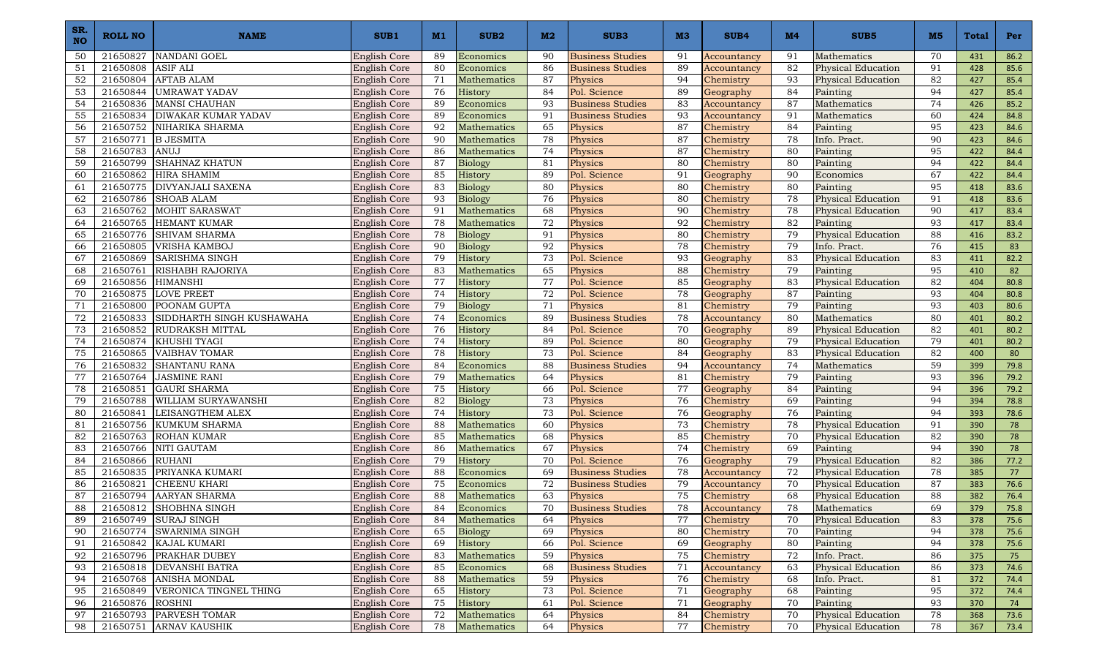| SR.<br><b>NO</b> | ROLL NO         | <b>NAME</b>                                      | SUB <sub>1</sub>             | M1       | SUB <sub>2</sub>         | M2       | SUB <sub>3</sub>        | M <sub>3</sub> | SUB4                     | M <sub>4</sub> | SUB <sub>5</sub>          | M <sub>5</sub> | <b>Total</b> | Per        |
|------------------|-----------------|--------------------------------------------------|------------------------------|----------|--------------------------|----------|-------------------------|----------------|--------------------------|----------------|---------------------------|----------------|--------------|------------|
| 50               | 21650827        | <b>NANDANI GOEL</b>                              | English Core                 | 89       | Economics                | 90       | <b>Business Studies</b> | 91             | Accountancy              | 91             | Mathematics               | 70             | 431          | 86.2       |
| 51               | 21650808        | <b>ASIF ALI</b>                                  | English Core                 | 80       | Economics                | 86       | <b>Business Studies</b> | 89             | Accountancy              | 82             | <b>Physical Education</b> | 91             | 428          | 85.6       |
| 52               | 21650804        | <b>AFTAB ALAM</b>                                | English Core                 | 71       | Mathematics              | 87       | Physics                 | 94             | Chemistry                | 93             | <b>Physical Education</b> | 82             | 427          | 85.4       |
| 53               | 21650844        | <b>UMRAWAT YADAV</b>                             | <b>English Core</b>          | 76       | History                  | 84       | Pol. Science            | 89             | Geography                | 84             | Painting                  | 94             | 427          | 85.4       |
| 54               | 21650836        | MANSI CHAUHAN                                    | English Core                 | 89       | Economics                | 93       | <b>Business Studies</b> | 83             | Accountancy              | 87             | Mathematics               | 74             | 426          | 85.2       |
| 55               | 21650834        | <b>DIWAKAR KUMAR YADAV</b>                       | <b>English Core</b>          | 89       | Economics                | 91       | <b>Business Studies</b> | 93             | Accountancy              | 91             | Mathematics               | 60             | 424          | 84.8       |
| 56               | 21650752        | NIHARIKA SHARMA                                  | English Core                 | 92       | Mathematics              | 65       | Physics                 | 87             | Chemistry                | 84             | Painting                  | 95             | 423          | 84.6       |
| 57               | 21650771        | <b>B JESMITA</b>                                 | English Core                 | 90       | Mathematics              | 78       | Physics                 | 87             | Chemistry                | 78             | Info. Pract.              | 90             | 423          | 84.6       |
| 58               | 21650783        | ANUJ                                             | <b>English Core</b>          | 86       | <b>Mathematics</b>       | 74       | Physics                 | 87             | Chemistry                | 80             | Painting                  | 95             | 422          | 84.4       |
| 59               | 21650799        | <b>SHAHNAZ KHATUN</b>                            | English Core                 | 87       | Biology                  | 81       | Physics                 | 80             | Chemistry                | 80             | Painting                  | 94             | 422          | 84.4       |
| 60               | 21650862        | <b>HIRA SHAMIM</b>                               | <b>English Core</b>          | 85       | History                  | 89       | Pol. Science            | 91             | Geography                | 90             | Economics                 | 67             | 422          | 84.4       |
| 61               | 21650775        | <b>DIVYANJALI SAXENA</b>                         | English Core                 | 83       | Biology                  | 80       | Physics                 | 80             | Chemistry                | 80             | Painting                  | 95             | 418          | 83.6       |
| 62               | 21650786        | <b>SHOAB ALAM</b>                                | English Core                 | 93       | Biology                  | 76       | Physics                 | 80             | Chemistry                | 78             | <b>Physical Education</b> | 91             | 418          | 83.6       |
| 63               | 21650762        | <b>MOHIT SARASWAT</b>                            | English Core                 | 91       | Mathematics              | 68       | Physics                 | 90             | Chemistry                | 78             | <b>Physical Education</b> | 90             | 417          | 83.4       |
| 64               | 21650765        | <b>HEMANT KUMAR</b>                              | <b>English Core</b>          | 78       | Mathematics              | 72       | Physics                 | 92             | Chemistry                | 82             | Painting                  | 93             | 417          | 83.4       |
| 65               | 21650776        | SHIVAM SHARMA                                    | English Core                 | $78\,$   | <b>Biology</b>           | 91       | Physics                 | 80             | Chemistry                | 79             | <b>Physical Education</b> | 88             | 416          | 83.2       |
| 66               | 21650805        | <b>VRISHA KAMBOJ</b>                             | <b>English Core</b>          | 90       | Biology                  | 92       | Physics                 | 78             | Chemistry                | 79             | Info. Pract.              | 76             | 415          | 83         |
| 67               | 21650869        | <b>SARISHMA SINGH</b>                            | English Core                 | 79       | History                  | 73       | Pol. Science            | 93             | Geography                | 83             | <b>Physical Education</b> | 83             | 411          | 82.2       |
| 68               | 21650761        | RISHABH RAJORIYA                                 | English Core                 | 83       | Mathematics              | 65       | Physics                 | 88             | Chemistry                | 79             | Painting                  | 95             | 410          | 82         |
| 69               | 21650856        | <b>HIMANSHI</b>                                  | English Core                 | 77       | History                  | 77       | Pol. Science            | 85             | Geography                | 83             | <b>Physical Education</b> | 82             | 404          | 80.8       |
| 70               | 21650875        | <b>LOVE PREET</b>                                | English Core                 | 74       | History                  | 72       | Pol. Science            | 78             | Geography                | 87             | Painting                  | 93             | 404          | 80.8       |
| 71               | 21650800        | POONAM GUPTA                                     | English Core                 | 79       | <b>Biology</b>           | 71       | Physics                 | 81             | Chemistry                | 79             | Painting                  | 93             | 403          | 80.6       |
| 72               | 21650833        | SIDDHARTH SINGH KUSHAWAHA                        | <b>English Core</b>          | 74       | Economics                | 89       | <b>Business Studies</b> | 78             | Accountancy              | 80             | Mathematics               | 80             | 401          | 80.2       |
| 73               | 21650852        | <b>RUDRAKSH MITTAL</b>                           | English Core                 | 76       | History                  | 84       | Pol. Science            | 70             | Geography                | 89             | <b>Physical Education</b> | 82             | 401          | 80.2       |
| 74               | 21650874        | <b>KHUSHI TYAGI</b>                              | English Core                 | 74       | History                  | 89       | Pol. Science            | 80             | Geography                | 79             | <b>Physical Education</b> | 79             | 401          | 80.2       |
| 75               | 21650865        | <b>VAIBHAV TOMAR</b>                             | <b>English Core</b>          | 78       | History                  | 73       | Pol. Science            | 84             | Geography                | 83             | <b>Physical Education</b> | 82             | 400          | 80         |
| 76               | 21650832        | <b>SHANTANU RANA</b>                             | <b>English Core</b>          | 84       | Economics                | 88       | <b>Business Studies</b> | 94             | Accountancy              | 74             | Mathematics               | 59             | 399          | 79.8       |
| 77               | 21650764        | <b>JASMINE RANI</b>                              | <b>English Core</b>          | 79       | Mathematics              | 64       | Physics                 | 81             | Chemistry                | 79             | Painting                  | 93             | 396          | 79.2       |
| 78               | 21650851        | <b>GAURI SHARMA</b>                              | English Core                 | 75       | History                  | 66       | Pol. Science            | 77             | Geography                | 84             | Painting                  | 94             | 396          | 79.2       |
| 79               | 21650788        | WILLIAM SURYAWANSHI                              | English Core                 | 82       | Biology                  | 73       | Physics                 | 76             | Chemistry                | 69             | Painting                  | 94             | 394          | 78.8       |
| 80               | 21650841        | LEISANGTHEM ALEX                                 | <b>English Core</b>          | 74       | History                  | 73       | Pol. Science            | 76             | Geography                | 76             | Painting                  | 94             | 393          | 78.6       |
| 81               | 21650756        | KUMKUM SHARMA                                    | <b>English Core</b>          | 88       | Mathematics              | 60       | Physics                 | 73             | Chemistry                | 78             | <b>Physical Education</b> | 91             | 390          | 78         |
| 82               | 21650763        | <b>ROHAN KUMAR</b>                               | English Core                 | 85       | Mathematics              | 68       | Physics                 | 85             | Chemistry                | 70             | <b>Physical Education</b> | 82             | 390          | 78         |
| 83               | 21650766        | NITI GAUTAM                                      | <b>English Core</b>          | 86       | Mathematics              | 67       | Physics                 | 74             | Chemistry                | 69             | Painting                  | 94             | 390          | 78         |
| 84               | 21650866        | <b>RUHANI</b>                                    | English Core                 | 79       | History                  | 70       | Pol. Science            | 76             | Geography                | 79             | <b>Physical Education</b> | 82             | 386          | 77.2       |
| 85               | 21650835        | PRIYANKA KUMARI                                  | English Core                 | 88       | Economics                | 69       | <b>Business Studies</b> | 78             | Accountancy              | 72             | <b>Physical Education</b> | 78             | 385          | 77         |
| 86               | 21650821        | <b>CHEENU KHARI</b>                              | English Core                 | 75       | Economics                | 72       | <b>Business Studies</b> | 79             | Accountancy              | 70             | <b>Physical Education</b> | 87             | 383          | 76.6       |
| 87               |                 | 21650794 AARYAN SHARMA<br>21650812 SHOBHNA SINGH | English Core                 | 88       | Mathematics<br>Economics | 63       | Physics                 | 75             | Chemistry<br>Accountancy | 68             | <b>Physical Education</b> | 88             | 382          | 76.4       |
| 88               |                 |                                                  | English Core                 | 84       |                          | 70       | <b>Business Studies</b> | 78             |                          | 78             | Mathematics               | 69             | 379          | 75.8       |
| 89               |                 | 21650749 SURAJ SINGH                             | English Core                 | 84       | Mathematics              | 64       | Physics                 | 77             | Chemistry                | 70             | <b>Physical Education</b> | 83             | 378          | 75.6       |
| 90               |                 | 21650774 SWARNIMA SINGH                          | English Core                 | 65       | <b>Biology</b>           | 69       | Physics                 | 80             | Chemistry                | 70             | Painting                  | 94             | 378          | 75.6       |
| 91               |                 | 21650842 KAJAL KUMARI<br>21650796 PRAKHAR DUBEY  | English Core                 | 69<br>83 | History<br>Mathematics   | 66<br>59 | Pol. Science<br>Physics | 69<br>75       | Geography<br>Chemistry   | 80<br>72       | Painting<br>Info. Pract.  | 94<br>86       | 378<br>375   | 75.6<br>75 |
| 92<br>93         |                 | 21650818 DEVANSHI BATRA                          | English Core<br>English Core | 85       | Economics                | 68       | <b>Business Studies</b> | 71             |                          | 63             | Physical Education        | 86             | 373          | 74.6       |
| 94               |                 | 21650768 ANISHA MONDAL                           | English Core                 | 88       | Mathematics              | 59       | Physics                 | 76             | Accountancy<br>Chemistry | 68             | Info. Pract.              | 81             | 372          | 74.4       |
| 95               |                 | 21650849 VERONICA TINGNEL THING                  | English Core                 | 65       | History                  | 73       | Pol. Science            | 71             | Geography                | 68             | Painting                  | 95             | 372          |            |
| 96               | 21650876 ROSHNI |                                                  | English Core                 | 75       | History                  | 61       | Pol. Science            | 71             | Geography                | 70             | Painting                  | 93             | 370          | 74.4<br>74 |
| 97               |                 | 21650793 PARVESH TOMAR                           | English Core                 | 72       | Mathematics              | 64       | Physics                 | 84             | Chemistry                | 70             | <b>Physical Education</b> | 78             | 368          | 73.6       |
| 98               |                 | 21650751 ARNAV KAUSHIK                           | English Core                 | 78       | Mathematics              | 64       | Physics                 | 77             | Chemistry                | 70             | <b>Physical Education</b> | 78             | 367          | 73.4       |
|                  |                 |                                                  |                              |          |                          |          |                         |                |                          |                |                           |                |              |            |